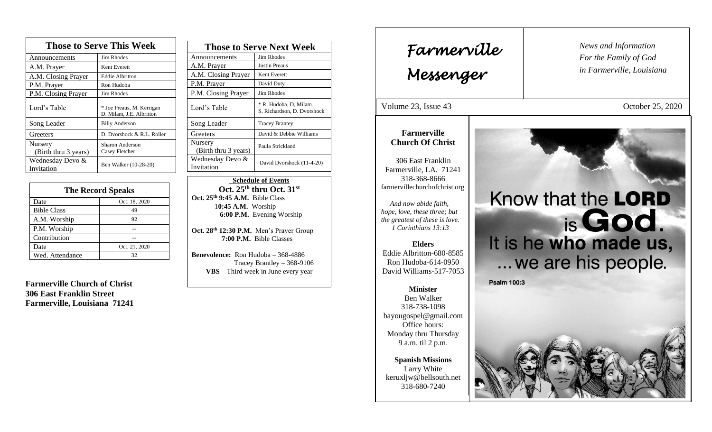| <b>Those to Serve This Week</b> |                                                       |
|---------------------------------|-------------------------------------------------------|
| Announcements                   | Jim Rhodes                                            |
| A.M. Prayer                     | Kent Everett                                          |
| A.M. Closing Prayer             | <b>Eddie Albritton</b>                                |
| P.M. Prayer                     | Ron Hudoba                                            |
| P.M. Closing Prayer             | Jim Rhodes                                            |
| Lord's Table                    | * Joe Preaus, M. Kerrigan<br>D. Milam, J.E. Albritton |
| Song Leader                     | <b>Billy Anderson</b>                                 |
| Greeters                        | D. Dvorshock & R.L. Roller                            |
| Nursery<br>(Birth thru 3 years) | Sharon Anderson<br>Casey Fletcher                     |
| Wednesday Devo &<br>Invitation  | Ben Walker (10-28-20)                                 |

| <b>The Record Speaks</b> |               |
|--------------------------|---------------|
| Date                     | Oct. 18, 2020 |
| <b>Bible Class</b>       | 49            |
| A.M. Worship             | 92            |
| P.M. Worship             |               |
| Contribution             |               |
| Date                     | Oct. 21, 2020 |
| Wed. Attendance          | 32            |

**Farmerville Church of Christ 306 East Franklin Street Farmerville, Louisiana 71241**

| <b>Those to Serve Next Week</b> |                                                      |
|---------------------------------|------------------------------------------------------|
| Announcements                   | Jim Rhodes                                           |
| A.M. Prayer                     | Justin Preaus                                        |
| A.M. Closing Prayer             | Kent Everett                                         |
| P.M. Prayer                     | David Duty                                           |
| P.M. Closing Prayer             | Jim Rhodes                                           |
| Lord's Table                    | * R. Hudoba, D. Milam<br>S. Richardson, D. Dvorshock |
| Song Leader                     | <b>Tracey Brantey</b>                                |
| Greeters                        | David & Debbie Williams                              |
| Nursery<br>(Birth thru 3 years) | Paula Strickland                                     |
| Wednesday Devo &<br>Invitation  | David Dvorshock (11-4-20)                            |

 **Schedule of Events Oct. 25th thru Oct. 31st Oct. 25th 9:45 A.M.** Bible Class 1**0:45 A.M.** Worship  **6:00 P.M.** Evening Worship

**Oct. 28th 12:30 P.M.** Men's Prayer Group **7:00 P.M.** Bible Classes

**Benevolence:** Ron Hudoba – 368-4886 Tracey Brantley – 368-9106 **VBS** – Third week in June every year

*News and Information* **Farmerville**  $\parallel$  News and *For the Family of God in Farmerville, Louisiana Messenger*  Volume 23, Issue 43 October 25, 2020 , 2015 **Farmerville Church Of Christ** 306 East Franklin Farmerville, LA. 71241 318-368-8666 farmervillechurchofchrist.org Know that the LORD  *And now abide faith,*   *hope, love, these three; but*  is God. *the greatest of these is love. 1 Corinthians 13:13* It is he who made us, **Elders** Eddie Albritton-680-8585 ... we are his people. Ron Hudoba-614-0950 David Williams-517-7053 **Psalm 100:3 Minister** Ben Walker 318-738-1098 bayougospel@gmail.com Office hours: Monday thru Thursday 9 a.m. til 2 p.m.  **Spanish Missions**  Larry White keruxljw@bellsouth.net 318-680-7240  L